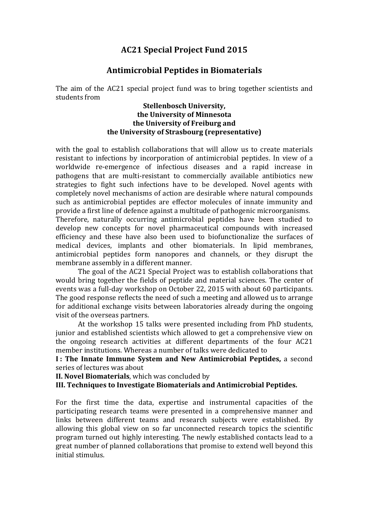## **AC21 Special Project Fund 2015**

## **Antimicrobial Peptides in Biomaterials**

The aim of the AC21 special project fund was to bring together scientists and students from

## **Stellenbosch University, the University of Minnesota the University of Freiburg and the University of Strasbourg (representative)**

with the goal to establish collaborations that will allow us to create materials resistant to infections by incorporation of antimicrobial peptides. In view of a worldwide re-emergence of infectious diseases and a rapid increase in pathogens that are multi-resistant to commercially available antibiotics new strategies to fight such infections have to be developed. Novel agents with completely novel mechanisms of action are desirable where natural compounds such as antimicrobial peptides are effector molecules of innate immunity and provide a first line of defence against a multitude of pathogenic microorganisms. Therefore, naturally occurring antimicrobial peptides have been studied to develop new concepts for novel pharmaceutical compounds with increased efficiency and these have also been used to biofunctionalize the surfaces of medical devices, implants and other biomaterials. In lipid membranes, antimicrobial peptides form nanopores and channels, or they disrupt the membrane assembly in a different manner.

The goal of the AC21 Special Project was to establish collaborations that would bring together the fields of peptide and material sciences. The center of events was a full-day workshop on October 22, 2015 with about 60 participants. The good response reflects the need of such a meeting and allowed us to arrange for additional exchange visits between laboratories already during the ongoing visit of the overseas partners.

At the workshop 15 talks were presented including from PhD students, junior and established scientists which allowed to get a comprehensive view on the ongoing research activities at different departments of the four AC21 member institutions. Whereas a number of talks were dedicated to

**I : The Innate Immune System and New Antimicrobial Peptides,** a second series of lectures was about

**II. Novel Biomaterials**, which was concluded by

## **III. Techniques to Investigate Biomaterials and Antimicrobial Peptides.**

For the first time the data, expertise and instrumental capacities of the participating research teams were presented in a comprehensive manner and links between different teams and research subjects were established. By allowing this global view on so far unconnected research topics the scientific program turned out highly interesting. The newly established contacts lead to a great number of planned collaborations that promise to extend well beyond this initial stimulus.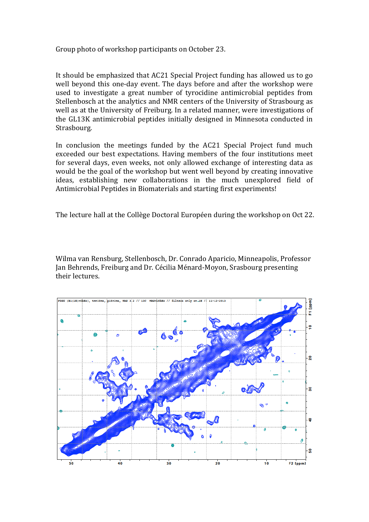Group photo of workshop participants on October 23.

It should be emphasized that AC21 Special Project funding has allowed us to go well beyond this one-day event. The days before and after the workshop were used to investigate a great number of tyrocidine antimicrobial peptides from Stellenbosch at the analytics and NMR centers of the University of Strasbourg as well as at the University of Freiburg. In a related manner, were investigations of the GL13K antimicrobial peptides initially designed in Minnesota conducted in Strasbourg.

In conclusion the meetings funded by the AC21 Special Project fund much exceeded our best expectations. Having members of the four institutions meet for several days, even weeks, not only allowed exchange of interesting data as would be the goal of the workshop but went well beyond by creating innovative ideas, establishing new collaborations in the much unexplored field of Antimicrobial Peptides in Biomaterials and starting first experiments!

The lecture hall at the Collège Doctoral Européen during the workshop on Oct 22.

Wilma van Rensburg, Stellenbosch, Dr. Conrado Aparicio, Minneapolis, Professor Jan Behrends, Freiburg and Dr. Cécilia Ménard-Moyon, Srasbourg presenting their lectures.